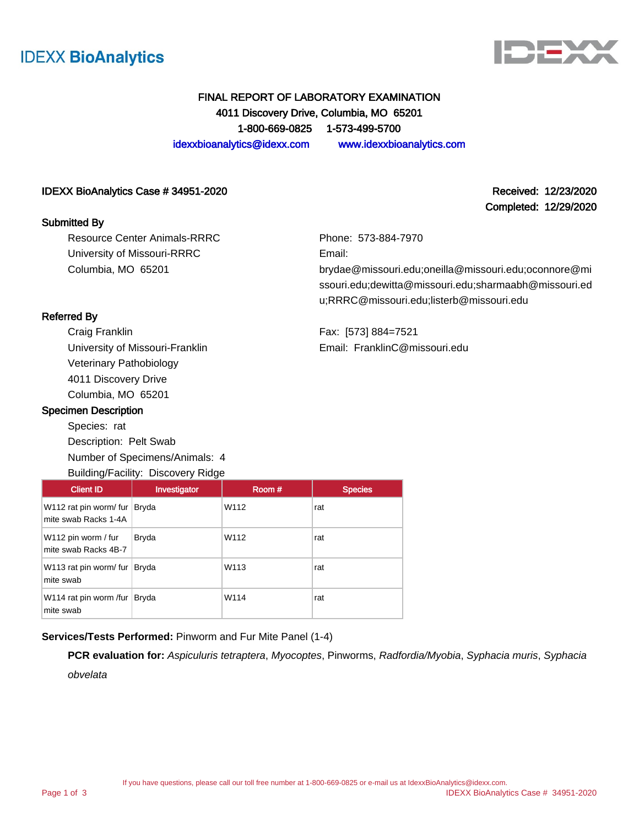



Completed: 12/29/2020

## FINAL REPORT OF LABORATORY EXAMINATION 4011 Discovery Drive, Columbia, MO 65201 1-800-669-0825 1-573-499-5700 idexxbioanalytics@idexx.com www.idexxbioanalytics.com

IDEXX BioAnalytics Case # 34951-2020 Received: 12/23/2020

#### Submitted By

Resource Center Animals-RRRC University of Missouri-RRRC Columbia, MO 65201

Phone: 573-884-7970 Email:

brydae@missouri.edu;oneilla@missouri.edu;oconnore@mi ssouri.edu;dewitta@missouri.edu;sharmaabh@missouri.ed u;RRRC@missouri.edu;listerb@missouri.edu

Referred By

Craig Franklin University of Missouri-Franklin Veterinary Pathobiology 4011 Discovery Drive Columbia, MO 65201

#### Specimen Description

Species: rat Description: Pelt Swab Number of Specimens/Animals: 4 Building/Facility: Discovery Ridge Fax: [573] 884=7521 Email: FranklinC@missouri.edu

| <b>Client ID</b>                               | Investigator | Room# | <b>Species</b> |
|------------------------------------------------|--------------|-------|----------------|
| W112 rat pin worm/ fur<br>mite swab Racks 1-4A | Bryda        | W112  | rat            |
| W112 pin worm / fur<br>mite swab Racks 4B-7    | <b>Bryda</b> | W112  | rat            |
| W113 rat pin worm/ fur<br>mite swab            | Bryda        | W113  | rat            |
| W114 rat pin worm /fur  <br>mite swab          | Bryda        | W114  | rat            |

#### **Services/Tests Performed:** Pinworm and Fur Mite Panel (1-4)

**PCR evaluation for:** Aspiculuris tetraptera, Myocoptes, Pinworms, Radfordia/Myobia, Syphacia muris, Syphacia obvelata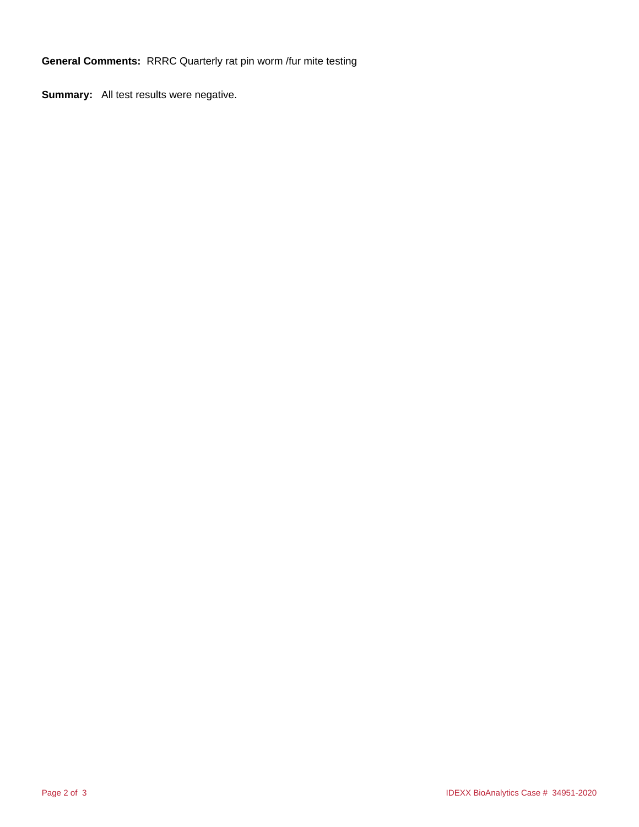**General Comments:** RRRC Quarterly rat pin worm /fur mite testing

**Summary:** All test results were negative.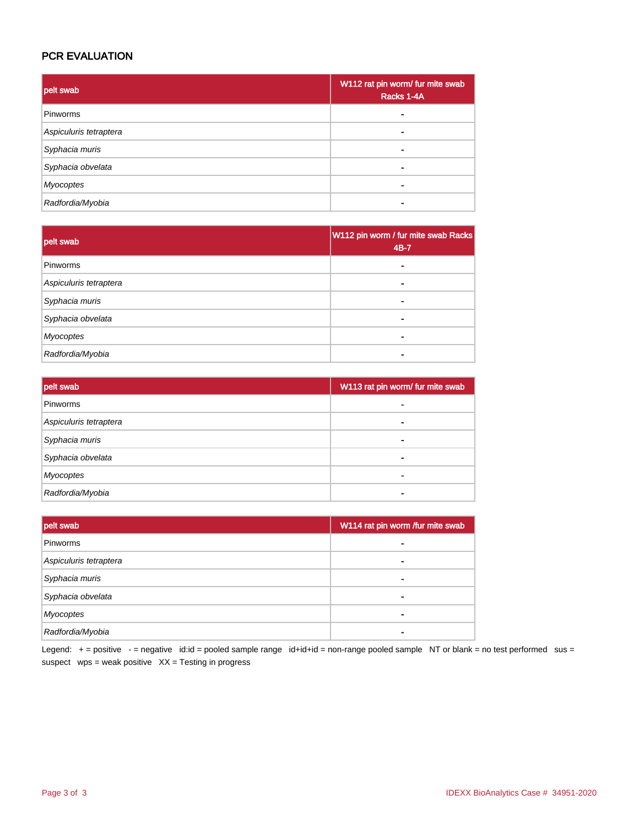## PCR EVALUATION

| pelt swab              | W112 rat pin worm/ fur mite swab<br>Racks 1-4A |
|------------------------|------------------------------------------------|
| Pinworms               |                                                |
| Aspiculuris tetraptera |                                                |
| Syphacia muris         |                                                |
| Syphacia obvelata      |                                                |
| <b>Myocoptes</b>       |                                                |
| Radfordia/Myobia       |                                                |

| pelt swab              | W112 pin worm / fur mite swab Racks<br>4B-7 |
|------------------------|---------------------------------------------|
| Pinworms               |                                             |
| Aspiculuris tetraptera |                                             |
| Syphacia muris         |                                             |
| Syphacia obvelata      |                                             |
| <b>Myocoptes</b>       |                                             |
| Radfordia/Myobia       |                                             |

| pelt swab              | W113 rat pin worm/ fur mite swab |
|------------------------|----------------------------------|
| Pinworms               |                                  |
| Aspiculuris tetraptera |                                  |
| Syphacia muris         |                                  |
| Syphacia obvelata      |                                  |
| Myocoptes              |                                  |
| Radfordia/Myobia       |                                  |

| pelt swab              | W114 rat pin worm /fur mite swab |
|------------------------|----------------------------------|
| Pinworms               |                                  |
| Aspiculuris tetraptera |                                  |
| Syphacia muris         |                                  |
| Syphacia obvelata      |                                  |
| <b>Myocoptes</b>       |                                  |
| Radfordia/Myobia       |                                  |

Legend: + = positive - = negative id:id = pooled sample range id+id+id = non-range pooled sample NT or blank = no test performed sus = suspect  $wps = weak positive XX = Testing in progress$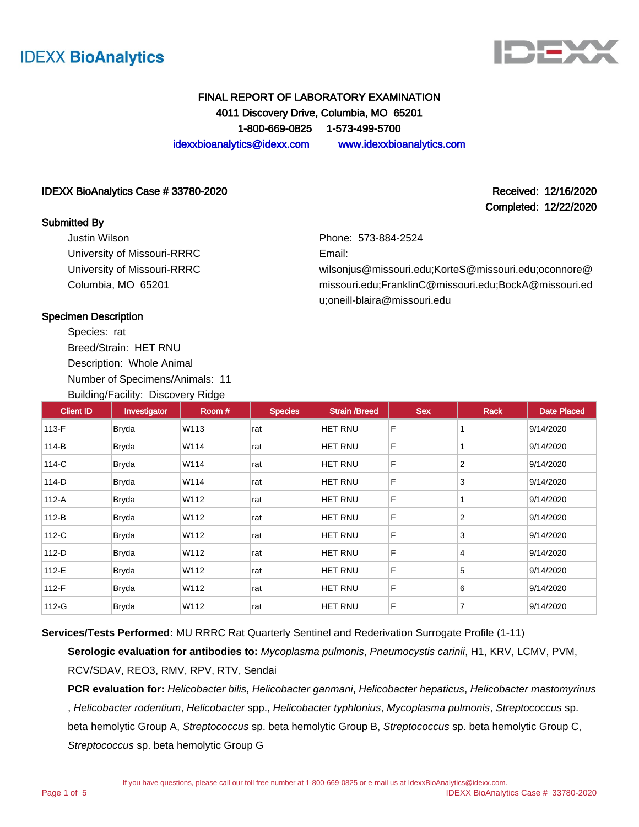



Completed: 12/22/2020

# FINAL REPORT OF LABORATORY EXAMINATION 4011 Discovery Drive, Columbia, MO 65201 1-800-669-0825 1-573-499-5700

idexxbioanalytics@idexx.com www.idexxbioanalytics.com

#### IDEXX BioAnalytics Case # 33780-2020 Received: 12/16/2020

### Submitted By

Justin Wilson University of Missouri-RRRC University of Missouri-RRRC Columbia, MO 65201

Phone: 573-884-2524

Email:

wilsonjus@missouri.edu;KorteS@missouri.edu;oconnore@ missouri.edu;FranklinC@missouri.edu;BockA@missouri.ed u;oneill-blaira@missouri.edu

### Specimen Description

Species: rat Breed/Strain: HET RNU Description: Whole Animal Number of Specimens/Animals: 11 Building/Facility: Discovery Ridge

| <b>Client ID</b> | Investigator | Room# | <b>Species</b> | <b>Strain /Breed</b> | <b>Sex</b> | Rack | <b>Date Placed</b> |
|------------------|--------------|-------|----------------|----------------------|------------|------|--------------------|
| 113-F            | Bryda        | W113  | rat            | HET RNU              | F          |      | 9/14/2020          |
| 114-B            | <b>Bryda</b> | W114  | rat            | HET RNU              | F          |      | 9/14/2020          |
| 114-C            | Bryda        | W114  | rat            | HET RNU              | F          | 2    | 9/14/2020          |
| 114-D            | <b>Bryda</b> | W114  | rat            | HET RNU              | F          | 3    | 9/14/2020          |
| 112-A            | <b>Bryda</b> | W112  | rat            | HET RNU              | F          |      | 9/14/2020          |
| 112-B            | Bryda        | W112  | rat            | HET RNU              | F          | 2    | 9/14/2020          |
| 112-C            | Bryda        | W112  | rat            | HET RNU              | F          | 3    | 9/14/2020          |
| $112-D$          | Bryda        | W112  | rat            | HET RNU              | F          | 4    | 9/14/2020          |
| 112-E            | Bryda        | W112  | rat            | HET RNU              | F          | 5    | 9/14/2020          |
| 112-F            | <b>Bryda</b> | W112  | rat            | <b>HET RNU</b>       | F          | 6    | 9/14/2020          |
| 112-G            | <b>Bryda</b> | W112  | rat            | <b>HET RNU</b>       | F          | 7    | 9/14/2020          |

**Services/Tests Performed:** MU RRRC Rat Quarterly Sentinel and Rederivation Surrogate Profile (1-11)

**Serologic evaluation for antibodies to:** Mycoplasma pulmonis, Pneumocystis carinii, H1, KRV, LCMV, PVM, RCV/SDAV, REO3, RMV, RPV, RTV, Sendai

PCR evaluation for: Helicobacter bilis, Helicobacter ganmani, Helicobacter hepaticus, Helicobacter mastomyrinus , Helicobacter rodentium, Helicobacter spp., Helicobacter typhlonius, Mycoplasma pulmonis, Streptococcus sp. beta hemolytic Group A, Streptococcus sp. beta hemolytic Group B, Streptococcus sp. beta hemolytic Group C, Streptococcus sp. beta hemolytic Group G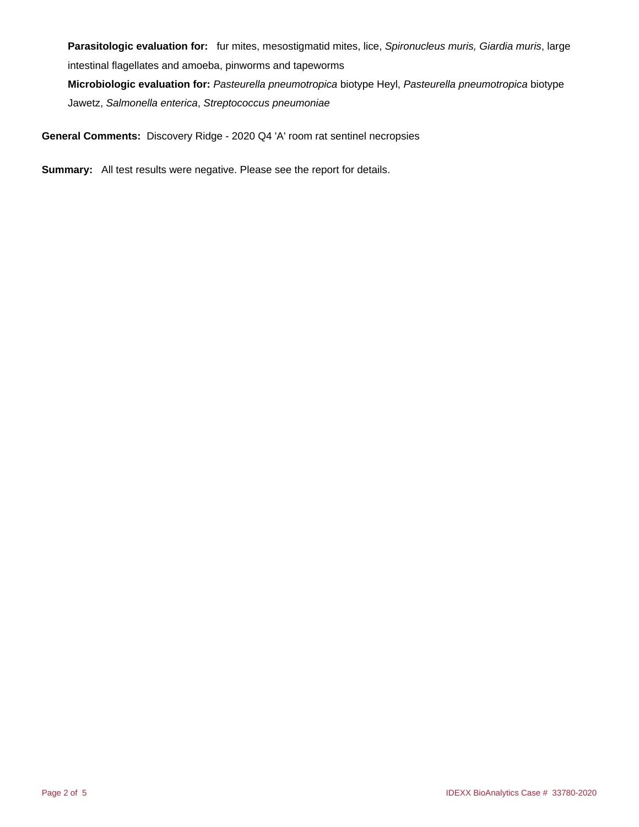Parasitologic evaluation for: fur mites, mesostigmatid mites, lice, Spironucleus muris, Giardia muris, large intestinal flagellates and amoeba, pinworms and tapeworms **Microbiologic evaluation for:** Pasteurella pneumotropica biotype Heyl, Pasteurella pneumotropica biotype

Jawetz, Salmonella enterica, Streptococcus pneumoniae

**General Comments:** Discovery Ridge - 2020 Q4 'A' room rat sentinel necropsies

**Summary:** All test results were negative. Please see the report for details.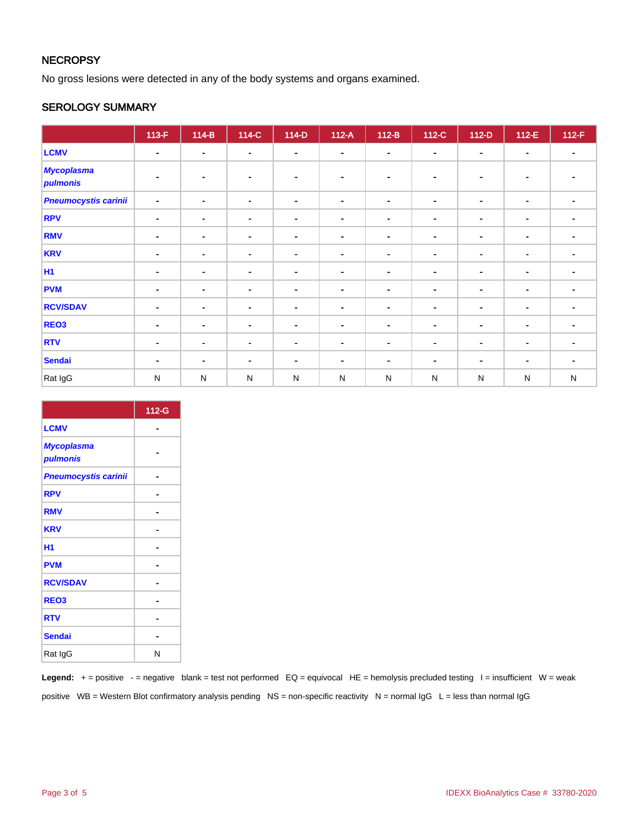## **NECROPSY**

No gross lesions were detected in any of the body systems and organs examined.

### SEROLOGY SUMMARY

|                               | $113-F$        | $114-B$        | 114-C          | $114-D$        | $112-A$        | $112-B$        | 112-C          | $112-D$        | 112-E          | $112-F$                  |
|-------------------------------|----------------|----------------|----------------|----------------|----------------|----------------|----------------|----------------|----------------|--------------------------|
| <b>LCMV</b>                   | $\blacksquare$ | ٠              | $\sim$         | $\blacksquare$ | $\blacksquare$ | $\blacksquare$ | $\sim$         | $\blacksquare$ | $\blacksquare$ | $\blacksquare$           |
| <b>Mycoplasma</b><br>pulmonis | $\blacksquare$ |                |                | $\blacksquare$ | $\blacksquare$ | ٠              |                | $\blacksquare$ | $\blacksquare$ |                          |
| <b>Pneumocystis carinii</b>   | $\blacksquare$ | ٠              | $\blacksquare$ | $\blacksquare$ | $\blacksquare$ | $\blacksquare$ | ٠              | $\blacksquare$ | $\blacksquare$ | $\blacksquare$           |
| <b>RPV</b>                    | $\blacksquare$ | ٠              | ۰              | $\blacksquare$ | $\blacksquare$ | $\blacksquare$ | $\blacksquare$ | $\blacksquare$ | $\blacksquare$ | $\blacksquare$           |
| <b>RMV</b>                    | $\blacksquare$ | ٠              | ۰              | $\blacksquare$ | $\blacksquare$ | $\blacksquare$ | ٠              | $\blacksquare$ | $\blacksquare$ | ٠                        |
| <b>KRV</b>                    | $\blacksquare$ | $\blacksquare$ | $\blacksquare$ | $\blacksquare$ | $\blacksquare$ | $\blacksquare$ | $\blacksquare$ | $\blacksquare$ | $\blacksquare$ | ۰                        |
| <b>H1</b>                     | $\blacksquare$ | $\blacksquare$ | $\blacksquare$ | $\blacksquare$ | ۰              | $\blacksquare$ | $\blacksquare$ | $\sim$         | $\blacksquare$ | $\blacksquare$           |
| <b>PVM</b>                    | $\blacksquare$ | $\blacksquare$ | $\blacksquare$ | $\blacksquare$ | ٠              | $\blacksquare$ | $\blacksquare$ | $\blacksquare$ | $\blacksquare$ | $\blacksquare$           |
| <b>RCV/SDAV</b>               | $\blacksquare$ | $\blacksquare$ | $\blacksquare$ | $\blacksquare$ | $\blacksquare$ | $\blacksquare$ | $\blacksquare$ | $\blacksquare$ | $\blacksquare$ | ۰                        |
| REO <sub>3</sub>              | $\blacksquare$ | ۰              | $\sim$         | $\sim$         | $\blacksquare$ | $\blacksquare$ | $\sim$         | $\blacksquare$ | $\blacksquare$ | $\overline{\phantom{a}}$ |
| <b>RTV</b>                    | $\blacksquare$ | ۰              | ۰              | $\blacksquare$ | ۰              | ٠              | ۰              | ٠              | $\blacksquare$ |                          |
| <b>Sendai</b>                 | $\blacksquare$ | $\blacksquare$ | $\blacksquare$ | $\blacksquare$ | $\blacksquare$ | $\overline{a}$ | $\blacksquare$ | $\blacksquare$ | $\blacksquare$ | $\blacksquare$           |
| Rat IgG                       | ${\sf N}$      | $\mathsf{N}$   | ${\sf N}$      | ${\sf N}$      | $\mathsf{N}$   | $\mathsf{N}$   | ${\sf N}$      | $\mathsf{N}$   | ${\sf N}$      | ${\sf N}$                |

|                               | 112-G |
|-------------------------------|-------|
| <b>LCMV</b>                   |       |
| <b>Mycoplasma</b><br>pulmonis |       |
| <b>Pneumocystis carinii</b>   |       |
| <b>RPV</b>                    |       |
| <b>RMV</b>                    |       |
| <b>KRV</b>                    |       |
| H1                            |       |
| <b>PVM</b>                    |       |
| <b>RCV/SDAV</b>               |       |
| REO <sub>3</sub>              |       |
| <b>RTV</b>                    |       |
| <b>Sendai</b>                 |       |
| Rat IgG                       | N     |

Legend: + = positive - = negative blank = test not performed EQ = equivocal HE = hemolysis precluded testing I = insufficient W = weak positive WB = Western Blot confirmatory analysis pending NS = non-specific reactivity N = normal  $\lg G$  L = less than normal  $\lg G$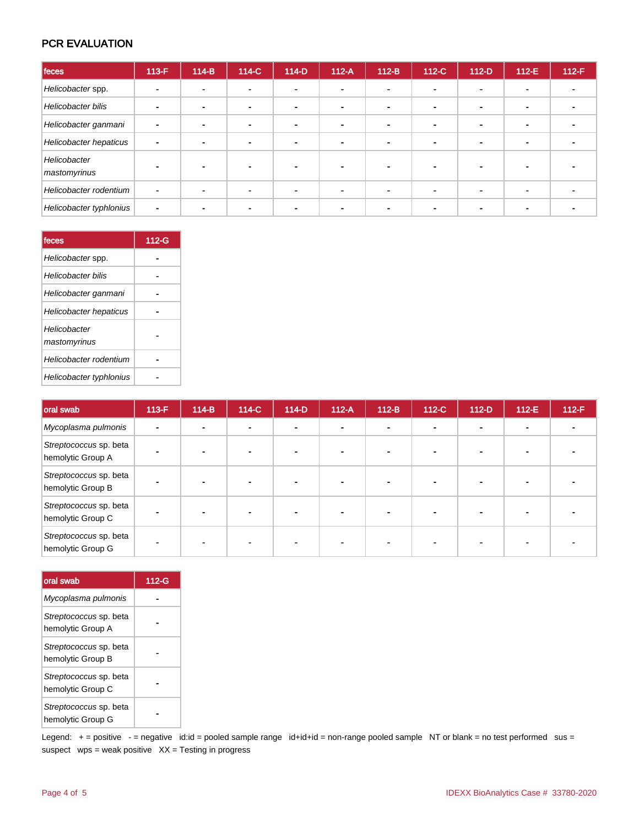### PCR EVALUATION

| feces                        | 113-F                    | $114-B$ | 114-C | $114-D$ | $112-A$                  | $112-B$    | 112-C          | $112-D$                  | $112-E$                  | $112-F$ |
|------------------------------|--------------------------|---------|-------|---------|--------------------------|------------|----------------|--------------------------|--------------------------|---------|
| Helicobacter spp.            | $\blacksquare$           |         |       |         | $\blacksquare$           |            |                |                          | $\mathbf{r}$             |         |
| Helicobacter bilis           | $\blacksquare$           |         |       |         | $\blacksquare$           |            |                |                          |                          |         |
| Helicobacter ganmani         | $\blacksquare$           |         |       |         | $\overline{\phantom{0}}$ | <b>100</b> | $\blacksquare$ | $\overline{\phantom{0}}$ | $\blacksquare$           |         |
| Helicobacter hepaticus       | $\blacksquare$           |         |       |         | $\blacksquare$           |            |                |                          | $\sim$                   |         |
| Helicobacter<br>mastomyrinus |                          |         |       |         |                          |            |                |                          |                          |         |
| Helicobacter rodentium       | $\overline{\phantom{a}}$ |         |       |         | $\blacksquare$           |            |                |                          | $\overline{\phantom{0}}$ |         |
| Helicobacter typhlonius      | $\blacksquare$           |         |       |         |                          |            |                |                          |                          |         |

| feces                         | 112-G |
|-------------------------------|-------|
| Helicobacter spp.             |       |
| Helicobacter bilis            |       |
| Helicobacter ganmani          |       |
| <b>Helicobacter hepaticus</b> |       |
| Helicobacter<br>mastomyrinus  |       |
| Helicobacter rodentium        |       |
| Helicobacter typhlonius       |       |

| <b>oral swab</b>                            | $113-F$ | $114-B$ | 114-C | $114-D$ | $112-A$        | $112-B$        | 112-C | $112-D$ | $112-E$ | $112-F$ |
|---------------------------------------------|---------|---------|-------|---------|----------------|----------------|-------|---------|---------|---------|
| Mycoplasma pulmonis                         |         |         |       |         | $\blacksquare$ | $\blacksquare$ |       |         |         |         |
| Streptococcus sp. beta<br>hemolytic Group A |         |         |       |         |                |                |       |         |         |         |
| Streptococcus sp. beta<br>hemolytic Group B |         |         |       |         |                |                |       |         |         |         |
| Streptococcus sp. beta<br>hemolytic Group C |         |         |       |         | $\blacksquare$ |                |       |         |         |         |
| Streptococcus sp. beta<br>hemolytic Group G |         |         |       |         |                |                |       |         |         |         |

| oral swab                                   | $112-G$ |
|---------------------------------------------|---------|
| Mycoplasma pulmonis                         |         |
| Streptococcus sp. beta<br>hemolytic Group A |         |
| Streptococcus sp. beta<br>hemolytic Group B |         |
| Streptococcus sp. beta<br>hemolytic Group C |         |
| Streptococcus sp. beta<br>hemolytic Group G |         |

Legend: + = positive - = negative id:id = pooled sample range id+id+id = non-range pooled sample NT or blank = no test performed sus = suspect  $wps = weak positive XX = Testing in progress$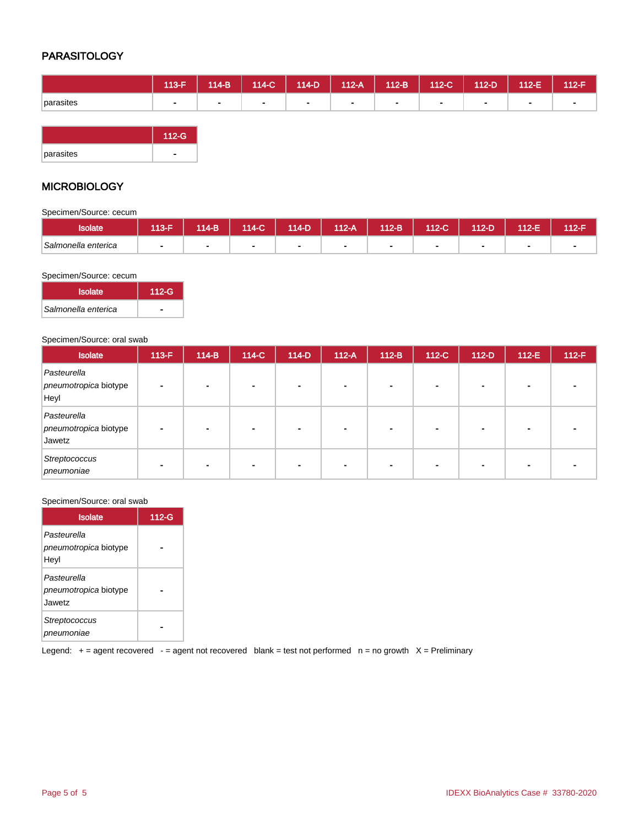## PARASITOLOGY

|           | $113-F$ | $114-B$ | $114-C$ | $114-D$ | $112-A$ | $\vert$ 112-B $\vert$ | $112-C$ | $112-D$ | $112-E$ | 112-F |
|-----------|---------|---------|---------|---------|---------|-----------------------|---------|---------|---------|-------|
| parasites |         |         |         |         |         |                       |         |         |         |       |



### **MICROBIOLOGY**

Specimen/Source: cecum

| <b>Isolate</b>      | 113-F | $14-B$ | $114-C$ | 114-D | 112-A | $112-B$ | 112-C | 112-D | 112-E. | 112-F |
|---------------------|-------|--------|---------|-------|-------|---------|-------|-------|--------|-------|
| Salmonella enterica |       |        |         |       |       |         |       |       |        | -     |

Specimen/Source: cecum

| <b>Isolate</b>      | $112-G$ |
|---------------------|---------|
| Salmonella enterica |         |

#### Specimen/Source: oral swab

| <b>Isolate</b>                                 | $113-F$ | $114-B$ | 114-C          | $114-D$                  | $112-A$ | $112-B$        | $112-C$                  | $112-D$ | $112-E$ | $112-F$ |
|------------------------------------------------|---------|---------|----------------|--------------------------|---------|----------------|--------------------------|---------|---------|---------|
| Pasteurella<br>pneumotropica biotype<br>Heyl   |         |         | $\blacksquare$ |                          |         |                |                          |         |         |         |
| Pasteurella<br>pneumotropica biotype<br>Jawetz |         |         | $\blacksquare$ | $\overline{\phantom{0}}$ |         | $\blacksquare$ | $\overline{\phantom{0}}$ |         |         |         |
| Streptococcus<br>pneumoniae                    |         |         | ٠              |                          |         | ۰              |                          |         |         |         |

#### Specimen/Source: oral swab

| <b>Isolate</b>                                 | $112-G$ |
|------------------------------------------------|---------|
| Pasteurella<br>pneumotropica biotype<br>Heyl   |         |
| Pasteurella<br>pneumotropica biotype<br>Jawetz |         |
| Streptococcus<br>pneumoniae                    |         |

Legend:  $+=$  agent recovered - = agent not recovered blank = test not performed  $n =$  no growth  $X =$  Preliminary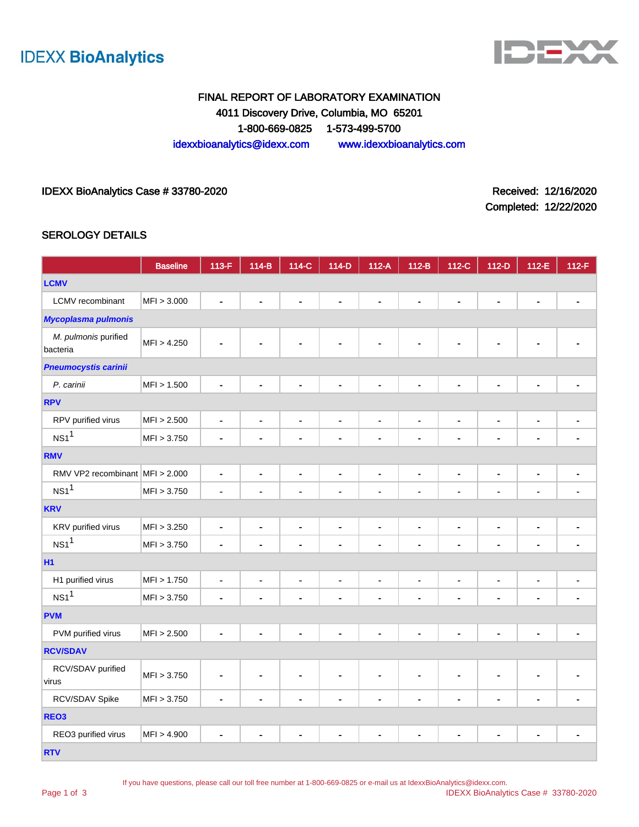



# FINAL REPORT OF LABORATORY EXAMINATION 4011 Discovery Drive, Columbia, MO 65201 1-800-669-0825 1-573-499-5700 idexxbioanalytics@idexx.com www.idexxbioanalytics.com

### IDEXX BioAnalytics Case # 33780-2020 <br>
Received: 12/16/2020

Completed: 12/22/2020

### SEROLOGY DETAILS

|                                  | <b>Baseline</b> | 113-F          | $114-B$        | 114-C          | $114-D$        | $112-A$        | $112-B$        | 112-C          | $112-D$        | 112-E          | $112-F$        |
|----------------------------------|-----------------|----------------|----------------|----------------|----------------|----------------|----------------|----------------|----------------|----------------|----------------|
| <b>LCMV</b>                      |                 |                |                |                |                |                |                |                |                |                |                |
| LCMV recombinant                 | MFI > 3.000     | L.             | L.             | $\blacksquare$ |                | L.             | $\blacksquare$ |                | ä,             | $\blacksquare$ |                |
| <b>Mycoplasma pulmonis</b>       |                 |                |                |                |                |                |                |                |                |                |                |
| M. pulmonis purified<br>bacteria | MFI > 4.250     |                |                |                |                |                |                |                |                |                |                |
| <b>Pneumocystis carinii</b>      |                 |                |                |                |                |                |                |                |                |                |                |
| P. carinii                       | MFI > 1.500     | $\blacksquare$ | $\blacksquare$ | $\blacksquare$ | $\blacksquare$ | $\blacksquare$ | $\blacksquare$ | $\blacksquare$ |                |                |                |
| <b>RPV</b>                       |                 |                |                |                |                |                |                |                |                |                |                |
| RPV purified virus               | MFI > 2.500     | $\blacksquare$ | $\blacksquare$ | $\blacksquare$ | $\blacksquare$ | $\blacksquare$ | $\blacksquare$ | $\blacksquare$ | $\blacksquare$ | $\blacksquare$ | ٠              |
| NS1 <sup>1</sup>                 | MFI > 3.750     | $\blacksquare$ | $\blacksquare$ | $\blacksquare$ | ä,             | ä,             |                | $\blacksquare$ | ä,             | $\blacksquare$ |                |
| <b>RMV</b>                       |                 |                |                |                |                |                |                |                |                |                |                |
| RMV VP2 recombinant MFI > 2.000  |                 | $\blacksquare$ | $\blacksquare$ | $\blacksquare$ | $\blacksquare$ | $\blacksquare$ | $\blacksquare$ | $\blacksquare$ | $\blacksquare$ | $\blacksquare$ | $\blacksquare$ |
| NS1 <sup>1</sup>                 | MFI > 3.750     | $\blacksquare$ |                | $\blacksquare$ | $\blacksquare$ |                | $\blacksquare$ | $\blacksquare$ | -              | $\blacksquare$ |                |
| <b>KRV</b>                       |                 |                |                |                |                |                |                |                |                |                |                |
| KRV purified virus               | MFI > 3.250     | $\blacksquare$ | $\blacksquare$ | $\blacksquare$ | $\blacksquare$ | $\blacksquare$ | $\blacksquare$ | $\blacksquare$ | $\blacksquare$ | $\blacksquare$ | $\blacksquare$ |
| NS1 <sup>1</sup>                 | MFI > 3.750     | $\blacksquare$ | $\blacksquare$ |                | $\blacksquare$ | ä,             |                | $\blacksquare$ | ä,             | $\blacksquare$ | $\blacksquare$ |
| <b>H1</b>                        |                 |                |                |                |                |                |                |                |                |                |                |
| H1 purified virus                | MFI > 1.750     | $\blacksquare$ | $\blacksquare$ | $\blacksquare$ | $\blacksquare$ | $\blacksquare$ | $\blacksquare$ | $\blacksquare$ | $\blacksquare$ | $\blacksquare$ | $\blacksquare$ |
| NS1 <sup>1</sup>                 | MFI > 3.750     | $\blacksquare$ | $\blacksquare$ | ä,             | $\blacksquare$ | ä,             | $\blacksquare$ |                | $\blacksquare$ | $\blacksquare$ |                |
| <b>PVM</b>                       |                 |                |                |                |                |                |                |                |                |                |                |
| PVM purified virus               | MFI > 2.500     | ٠              | ٠              | $\blacksquare$ | ٠              | $\blacksquare$ | $\blacksquare$ | ٠              | $\blacksquare$ | $\blacksquare$ | $\blacksquare$ |
| <b>RCV/SDAV</b>                  |                 |                |                |                |                |                |                |                |                |                |                |
| RCV/SDAV purified<br>virus       | MFI > 3.750     | $\blacksquare$ | $\blacksquare$ | $\blacksquare$ | $\blacksquare$ | ٠              | $\blacksquare$ | $\blacksquare$ |                |                |                |
| RCV/SDAV Spike                   | MFI > 3.750     | ä,             | L,             | $\blacksquare$ | ä,             | L,             | $\blacksquare$ | ä,             | L,             | $\blacksquare$ | $\blacksquare$ |
| REO <sub>3</sub>                 |                 |                |                |                |                |                |                |                |                |                |                |
| REO3 purified virus              | MFI > 4.900     | ٠              | ۰              |                | ٠              | ۰              |                |                |                |                |                |
| <b>RTV</b>                       |                 |                |                |                |                |                |                |                |                |                |                |

If you have questions, please call our toll free number at 1-800-669-0825 or e-mail us at IdexxBioAnalytics@idexx.com.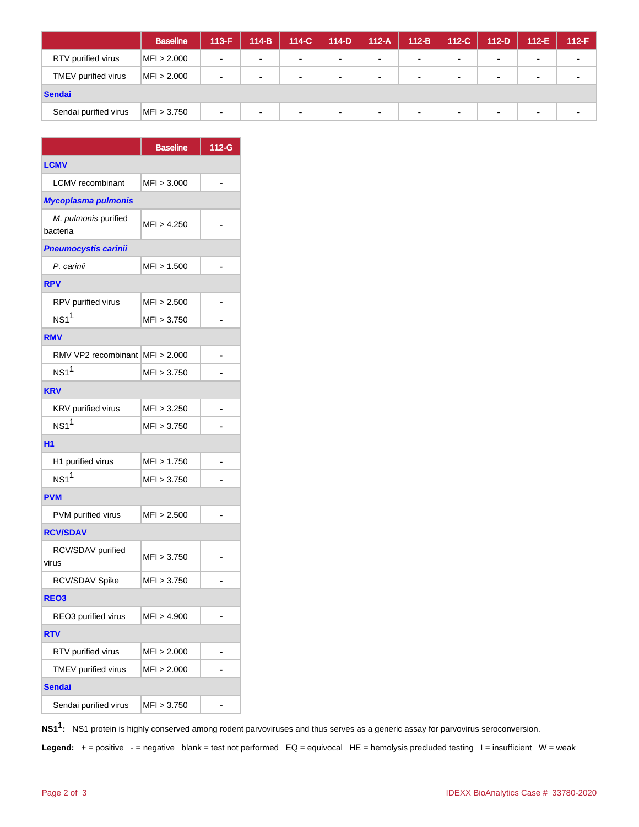|                       | <b>Baseline</b> | 113-F | $114-B$        | 114-C  | $114-D$        | $112-A$ | $112-B$ | $112-C$        | $112-D$ | $112-E$        | $112-F$        |
|-----------------------|-----------------|-------|----------------|--------|----------------|---------|---------|----------------|---------|----------------|----------------|
| RTV purified virus    | MFI > 2.000     | ٠     | $\sim$         | $\sim$ | $\blacksquare$ | $\sim$  | $\sim$  | $\blacksquare$ | $\sim$  | $\sim$         | ۰.             |
| TMEV purified virus   | MFI > 2.000     | ۰     | $\blacksquare$ | $\sim$ | $\sim$         | $\sim$  | $\sim$  | $\sim$         | $\sim$  | $\sim$         | $\blacksquare$ |
| Sendai                |                 |       |                |        |                |         |         |                |         |                |                |
| Sendai purified virus | MFI > 3.750     | ٠     | $\sim$         | ۰.     | $\blacksquare$ | $\sim$  | $\sim$  | $\blacksquare$ | $\sim$  | $\blacksquare$ | ۰.             |

|                                  | <b>Baseline</b> | 112-G |
|----------------------------------|-----------------|-------|
| <b>LCMV</b>                      |                 |       |
| <b>LCMV</b> recombinant          | MFI > 3.000     |       |
| Mycoplasma pulmonis              |                 |       |
| M. pulmonis purified<br>bacteria | MFI > 4.250     |       |
| <b>Pneumocystis carinii</b>      |                 |       |
| P. carinii                       | MFI > 1.500     |       |
| <b>RPV</b>                       |                 |       |
| RPV purified virus               | MFI > 2.500     |       |
| $NS1$ <sup>1</sup>               | MFI > 3.750     |       |
| <b>RMV</b>                       |                 |       |
| RMV VP2 recombinant MFI > 2.000  |                 |       |
| $NS1$ <sup>1</sup>               | MFI > 3.750     |       |
| <b>KRV</b>                       |                 |       |
| KRV purified virus               | MFI > 3.250     |       |
| $NS1$ <sup>1</sup>               | MFI > 3.750     |       |
| H <sub>1</sub>                   |                 |       |
| H1 purified virus                | MFI > 1.750     |       |
| $NS1^1$                          | MFI > 3.750     |       |
| <b>PVM</b>                       |                 |       |
| PVM purified virus               | MFI > 2.500     |       |
| <b>RCV/SDAV</b>                  |                 |       |
| RCV/SDAV purified<br>virus       | MFI > 3.750     |       |
| RCV/SDAV Spike                   | MFI > 3.750     |       |
| REO <sub>3</sub>                 |                 |       |
| REO3 purified virus              | MFI > 4.900     |       |
| <b>RTV</b>                       |                 |       |
| RTV purified virus               | MFI > 2.000     |       |
| TMEV purified virus              | MFI > 2.000     |       |
| <b>Sendai</b>                    |                 |       |
| Sendai purified virus            | MFI > 3.750     |       |

**NS11 :** NS1 protein is highly conserved among rodent parvoviruses and thus serves as a generic assay for parvovirus seroconversion.

Legend: + = positive - = negative blank = test not performed EQ = equivocal HE = hemolysis precluded testing I = insufficient W = weak